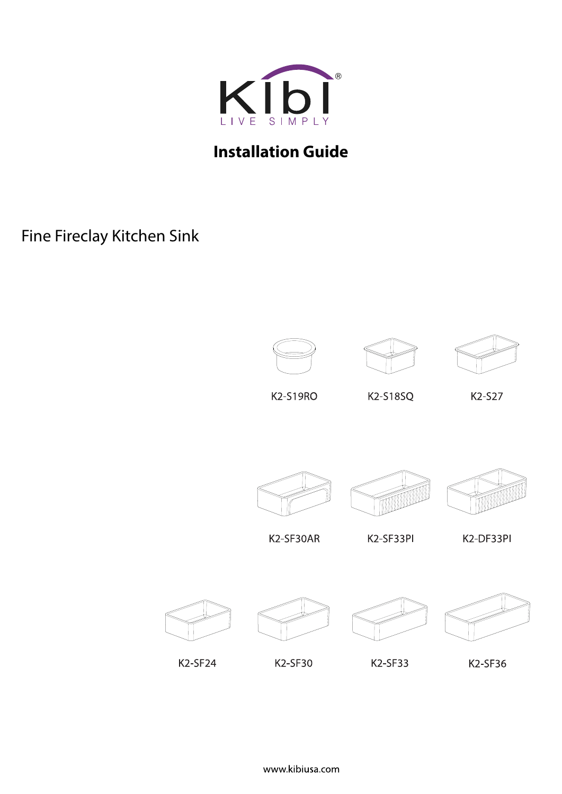

## **Installation Guide**

Fine Fireclay Kitchen Sink







K2-S19RO

K2-S18SQ

K2-S27







K2-SF30AR

K2-SF30

K2-SF33PI

K2-DF33PI



K2-SF24



K2-SF33





K2-SF36



www.kibiusa.com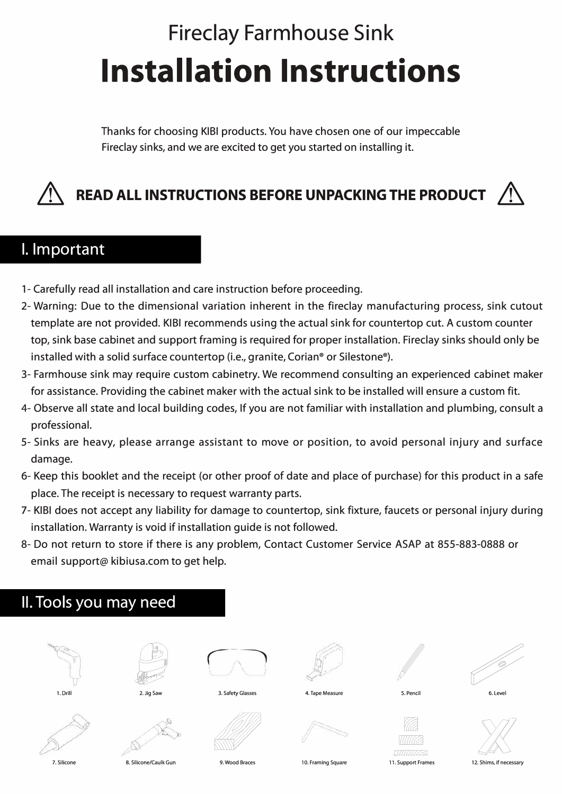# **Fireclay Farmhouse Sink Installation Instructions**

Thanks for choosing KIBI products. You have chosen one of our impeccable Fireclay sinks, and we are excited to get you started on installing it.

## & **READ ALL INSTRUCTIONS BEFORE UNPACKING THE PRODUCT** &

### I. Important

- 1- Carefully read all installation and care instruction before proceeding.
- 2- Warning: Due to the dimensional variation inherent in the fireclay manufacturing process, sink cutout template are not provided. KIBI recommends using the actual sink for countertop cut. A custom counter top, sink base cabinet and support framing is required for proper installation. Fireclay sinks should only be installed with a solid surface countertop (i.e., granite, Corian® or Silestone® ).
- 3- Farmhouse sink may require custom cabinetry. We recommend consulting an experienced cabinet maker for assistance. Providing the cabinet maker with the actual sink to be installed will ensure a custom fit.
- 4- Observe all state and local building codes, If you are not familiar with installation and plumbing, consult a professional.
- 5- Sinks are heavy, please arrange assistant to move or position, to avoid personal injury and surface damage.
- 6- Keep this booklet and the receipt (or other proof of date and place of purchase) for this product in a safe place. The receipt is necessary to request warranty parts.
- 7- KIBI does not accept any liability for damage to countertop, sink fixture, faucets or personal injury during installation. Warranty is void if installation guide is not followed.
- 8- Do not return to store if there is any problem, Contact Customer Service ASAP at 855-883-0888 or email support@ kibiusa.com to get help.

## II. Tools you may need







3. Safety Glasses















7. Silicone 8. Silicone/Caulk Gun

9. Wood Braces

10. Framing Square **11.** Support Frames 12. Shims, if necessary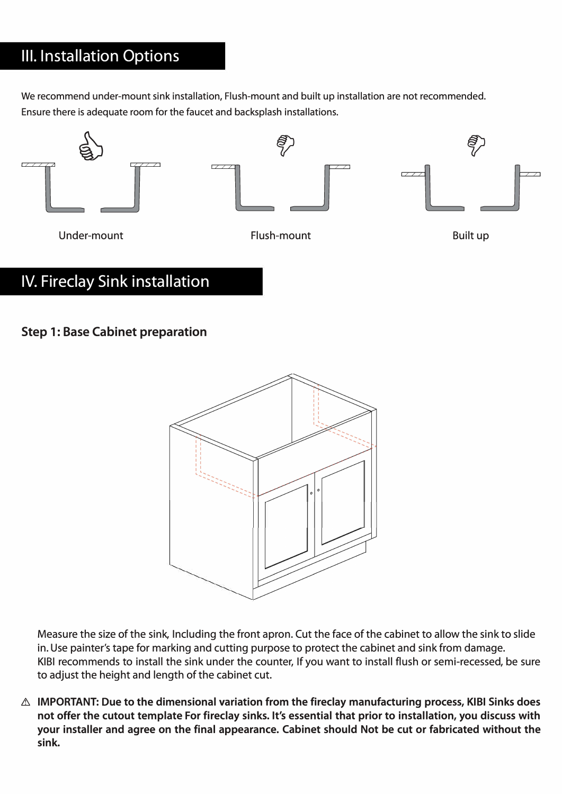## Ill. Installation Options

We recommend under-mount sink installation, Flush-mount and built up installation are not recommended. Ensure there is adequate room for the faucet and backsplash installations.



## IV. Fireclay Sink installation

#### **Step 1: Base Cabinet preparation**



Measure the size of the sink, Including the front apron. Cut the face of the cabinet to allow the sink to slide in. Use painter's tape for marking and cutting purpose to protect the cabinet and sink from damage. KIBI recommends to install the sink under the counter, If you want to install flush or semi-recessed, be sure to adjust the height and length of the cabinet cut.

**.& IMPORTANT: Due to the dimensional variation from the fireclay manufacturing process, KIBI Sinks does not offer the cutout template For fireclay sinks. It's essential that prior to installation, you discuss with your installer and agree on the final appearance. Cabinet should Not be cut or fabricated without the sink.**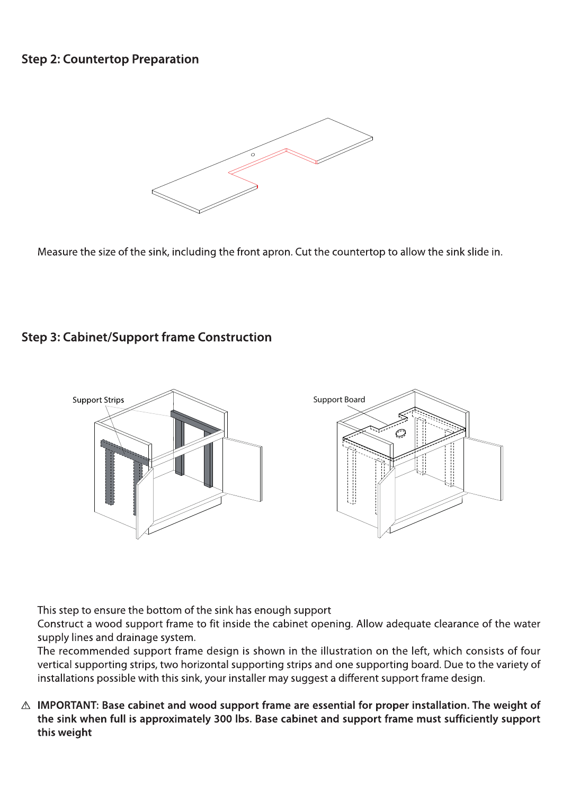#### **Step 2: Countertop Preparation**



Measure the size of the sink, including the front apron. Cut the countertop to allow the sink slide in.

#### **Step 3: Cabinet/Support frame Construction**



This step to ensure the bottom of the sink has enough support

Construct a wood support frame to fit inside the cabinet opening. Allow adequate clearance of the water supply lines and drainage system.

The recommended support frame design is shown in the illustration on the left, which consists of four vertical supporting strips, two horizontal supporting strips and one supporting board. Due to the variety of installations possible with this sink, your installer may suggest a different support frame design.

 $\triangle$  IMPORTANT: Base cabinet and wood support frame are essential for proper installation. The weight of the sink when full is approximately 300 lbs. Base cabinet and support frame must sufficiently support this weight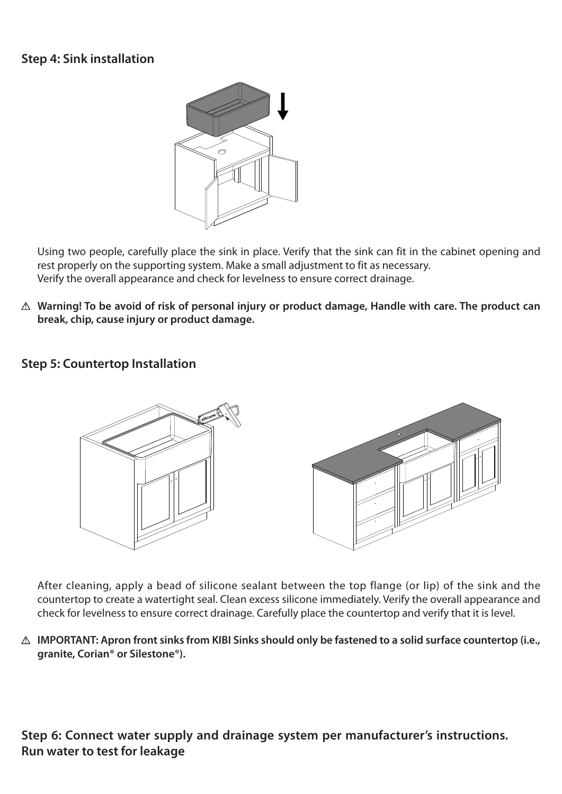#### **Step 4: Sink installation**



Using two people, carefully place the sink in place. Verify that the sink can fit in the cabinet opening and rest properly on the supporting system. Make a small adjustment to fit as necessary. Verify the overall appearance and check for levelness to ensure correct drainage.

**Warning! To be avoid of risk of personal injury or product damage, Handle with care. The product can break, chip, cause injury or product damage.**

#### **Step 5: Countertop Installation**



After cleaning, apply a bead of silicone sealant between the top flange (or lip) of the sink and the countertop to create a watertight seal. Clean excess silicone immediately. Verify the overall appearance and check for levelness to ensure correct drainage. Carefully place the countertop and verify that it is level.

**IMPORTANT: Apron front sinks from KIBI Sinks should only be fastened to a solid surface countertop (i.e., granite, Corian® or Silestone®).**

**Step 6: Connect water supply and drainage system per manufacturer's instructions. Run water to test for leakage**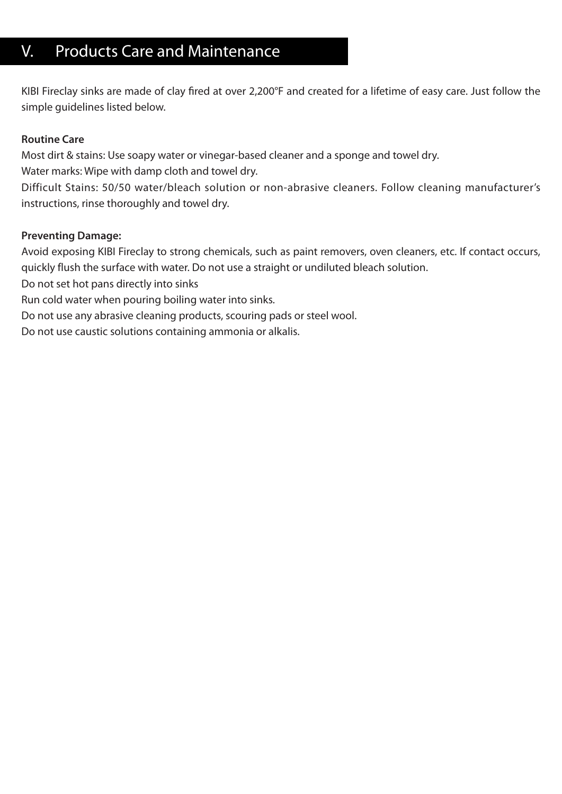## V. Products Care and Maintenance

KIBI Fireclay sinks are made of clay fired at over 2,200°F and created for a lifetime of easy care. Just follow the simple guidelines listed below.

#### **Routine Care**

Most dirt & stains: Use soapy water or vinegar-based cleaner and a sponge and towel dry.

Water marks: Wipe with damp cloth and towel dry.

Difficult Stains: 50/50 water/bleach solution or non-abrasive cleaners. Follow cleaning manufacturer's instructions, rinse thoroughly and towel dry.

#### **Preventing Damage:**

Avoid exposing KIBI Fireclay to strong chemicals, such as paint removers, oven cleaners, etc. If contact occurs, quickly flush the surface with water. Do not use a straight or undiluted bleach solution.

Do not set hot pans directly into sinks

Run cold water when pouring boiling water into sinks.

Do not use any abrasive cleaning products, scouring pads or steel wool.

Do not use caustic solutions containing ammonia or alkalis.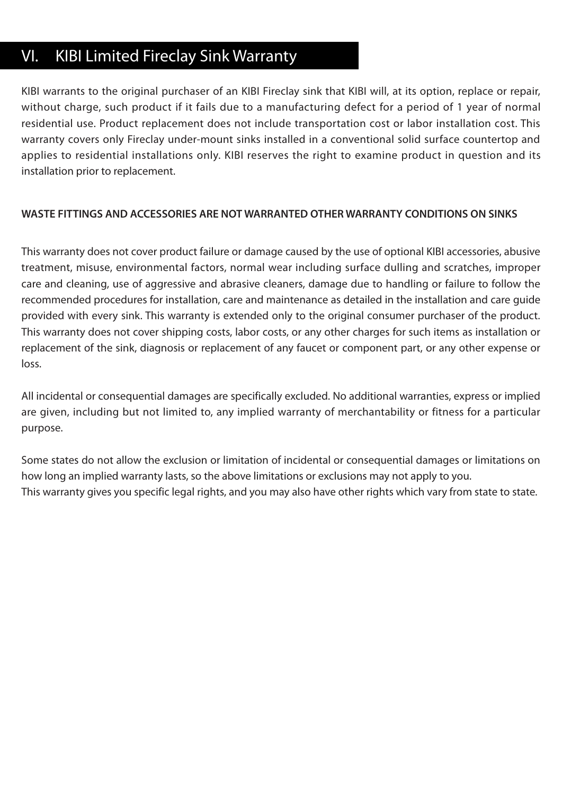## VI. KIBI Limited Fireclay Sink Warranty

KIBI warrants to the original purchaser of an KIBI Fireclay sink that KIBI will, at its option, replace or repair, without charge, such product if it fails due to a manufacturing defect for a period of 1 year of normal residential use. Product replacement does not include transportation cost or labor installation cost. This warranty covers only Fireclay under-mount sinks installed in a conventional solid surface countertop and applies to residential installations only. KIBI reserves the right to examine product in question and its installation prior to replacement.

#### **WASTE FITTINGS AND ACCESSORIES ARE NOT WARRANTED OTHER WARRANTY CONDITIONS ON SINKS**

This warranty does not cover product failure or damage caused by the use of optional KIBI accessories, abusive treatment, misuse, environmental factors, normal wear including surface dulling and scratches, improper care and cleaning, use of aggressive and abrasive cleaners, damage due to handling or failure to follow the recommended procedures for installation, care and maintenance as detailed in the installation and care guide provided with every sink. This warranty is extended only to the original consumer purchaser of the product. This warranty does not cover shipping costs, labor costs, or any other charges for such items as installation or replacement of the sink, diagnosis or replacement of any faucet or component part, or any other expense or loss.

All incidental or consequential damages are specifically excluded. No additional warranties, express or implied are given, including but not limited to, any implied warranty of merchantability or fitness for a particular purpose.

Some states do not allow the exclusion or limitation of incidental or consequential damages or limitations on how long an implied warranty lasts, so the above limitations or exclusions may not apply to you. This warranty gives you specific legal rights, and you may also have other rights which vary from state to state.